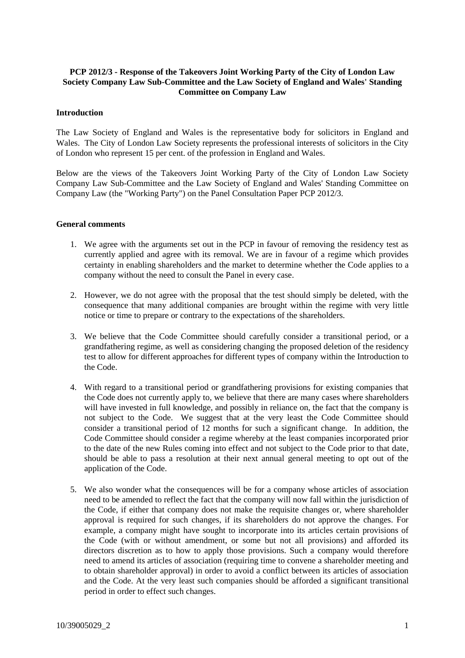# **PCP 2012/3 - Response of the Takeovers Joint Working Party of the City of London Law Society Company Law Sub-Committee and the Law Society of England and Wales' Standing Committee on Company Law**

### **Introduction**

The Law Society of England and Wales is the representative body for solicitors in England and Wales. The City of London Law Society represents the professional interests of solicitors in the City of London who represent 15 per cent. of the profession in England and Wales.

Below are the views of the Takeovers Joint Working Party of the City of London Law Society Company Law Sub-Committee and the Law Society of England and Wales' Standing Committee on Company Law (the "Working Party") on the Panel Consultation Paper PCP 2012/3.

#### **General comments**

- 1. We agree with the arguments set out in the PCP in favour of removing the residency test as currently applied and agree with its removal. We are in favour of a regime which provides certainty in enabling shareholders and the market to determine whether the Code applies to a company without the need to consult the Panel in every case.
- 2. However, we do not agree with the proposal that the test should simply be deleted, with the consequence that many additional companies are brought within the regime with very little notice or time to prepare or contrary to the expectations of the shareholders.
- 3. We believe that the Code Committee should carefully consider a transitional period, or a grandfathering regime, as well as considering changing the proposed deletion of the residency test to allow for different approaches for different types of company within the Introduction to the Code.
- 4. With regard to a transitional period or grandfathering provisions for existing companies that the Code does not currently apply to, we believe that there are many cases where shareholders will have invested in full knowledge, and possibly in reliance on, the fact that the company is not subject to the Code. We suggest that at the very least the Code Committee should consider a transitional period of 12 months for such a significant change. In addition, the Code Committee should consider a regime whereby at the least companies incorporated prior to the date of the new Rules coming into effect and not subject to the Code prior to that date, should be able to pass a resolution at their next annual general meeting to opt out of the application of the Code.
- 5. We also wonder what the consequences will be for a company whose articles of association need to be amended to reflect the fact that the company will now fall within the jurisdiction of the Code, if either that company does not make the requisite changes or, where shareholder approval is required for such changes, if its shareholders do not approve the changes. For example, a company might have sought to incorporate into its articles certain provisions of the Code (with or without amendment, or some but not all provisions) and afforded its directors discretion as to how to apply those provisions. Such a company would therefore need to amend its articles of association (requiring time to convene a shareholder meeting and to obtain shareholder approval) in order to avoid a conflict between its articles of association and the Code. At the very least such companies should be afforded a significant transitional period in order to effect such changes.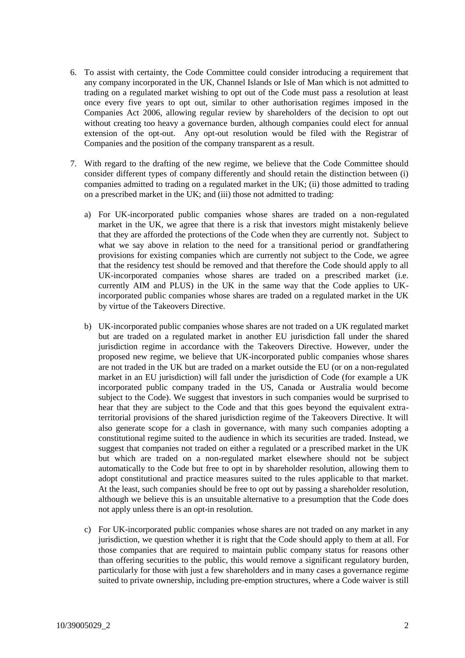- 6. To assist with certainty, the Code Committee could consider introducing a requirement that any company incorporated in the UK, Channel Islands or Isle of Man which is not admitted to trading on a regulated market wishing to opt out of the Code must pass a resolution at least once every five years to opt out, similar to other authorisation regimes imposed in the Companies Act 2006, allowing regular review by shareholders of the decision to opt out without creating too heavy a governance burden, although companies could elect for annual extension of the opt-out. Any opt-out resolution would be filed with the Registrar of Companies and the position of the company transparent as a result.
- 7. With regard to the drafting of the new regime, we believe that the Code Committee should consider different types of company differently and should retain the distinction between (i) companies admitted to trading on a regulated market in the UK; (ii) those admitted to trading on a prescribed market in the UK; and (iii) those not admitted to trading:
	- a) For UK-incorporated public companies whose shares are traded on a non-regulated market in the UK, we agree that there is a risk that investors might mistakenly believe that they are afforded the protections of the Code when they are currently not. Subject to what we say above in relation to the need for a transitional period or grandfathering provisions for existing companies which are currently not subject to the Code, we agree that the residency test should be removed and that therefore the Code should apply to all UK-incorporated companies whose shares are traded on a prescribed market (i.e. currently AIM and PLUS) in the UK in the same way that the Code applies to UKincorporated public companies whose shares are traded on a regulated market in the UK by virtue of the Takeovers Directive.
	- b) UK-incorporated public companies whose shares are not traded on a UK regulated market but are traded on a regulated market in another EU jurisdiction fall under the shared jurisdiction regime in accordance with the Takeovers Directive. However, under the proposed new regime, we believe that UK-incorporated public companies whose shares are not traded in the UK but are traded on a market outside the EU (or on a non-regulated market in an EU jurisdiction) will fall under the jurisdiction of Code (for example a UK incorporated public company traded in the US, Canada or Australia would become subject to the Code). We suggest that investors in such companies would be surprised to hear that they are subject to the Code and that this goes beyond the equivalent extraterritorial provisions of the shared jurisdiction regime of the Takeovers Directive. It will also generate scope for a clash in governance, with many such companies adopting a constitutional regime suited to the audience in which its securities are traded. Instead, we suggest that companies not traded on either a regulated or a prescribed market in the UK but which are traded on a non-regulated market elsewhere should not be subject automatically to the Code but free to opt in by shareholder resolution, allowing them to adopt constitutional and practice measures suited to the rules applicable to that market. At the least, such companies should be free to opt out by passing a shareholder resolution, although we believe this is an unsuitable alternative to a presumption that the Code does not apply unless there is an opt-in resolution.
	- c) For UK-incorporated public companies whose shares are not traded on any market in any jurisdiction, we question whether it is right that the Code should apply to them at all. For those companies that are required to maintain public company status for reasons other than offering securities to the public, this would remove a significant regulatory burden, particularly for those with just a few shareholders and in many cases a governance regime suited to private ownership, including pre-emption structures, where a Code waiver is still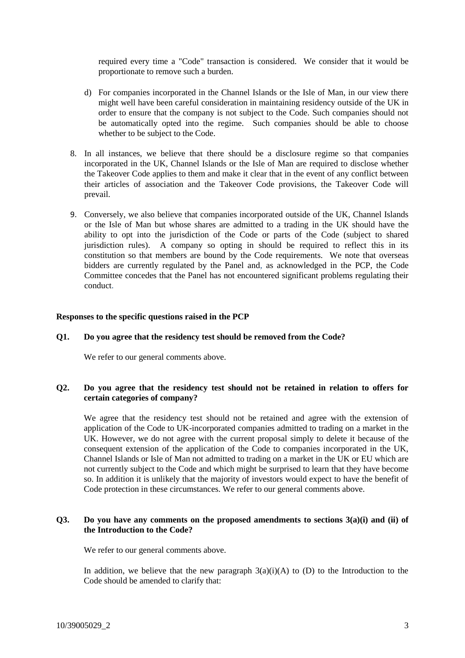required every time a "Code" transaction is considered. We consider that it would be proportionate to remove such a burden.

- d) For companies incorporated in the Channel Islands or the Isle of Man, in our view there might well have been careful consideration in maintaining residency outside of the UK in order to ensure that the company is not subject to the Code. Such companies should not be automatically opted into the regime. Such companies should be able to choose whether to be subject to the Code.
- 8. In all instances, we believe that there should be a disclosure regime so that companies incorporated in the UK, Channel Islands or the Isle of Man are required to disclose whether the Takeover Code applies to them and make it clear that in the event of any conflict between their articles of association and the Takeover Code provisions, the Takeover Code will prevail.
- 9. Conversely, we also believe that companies incorporated outside of the UK, Channel Islands or the Isle of Man but whose shares are admitted to a trading in the UK should have the ability to opt into the jurisdiction of the Code or parts of the Code (subject to shared jurisdiction rules). A company so opting in should be required to reflect this in its constitution so that members are bound by the Code requirements. We note that overseas bidders are currently regulated by the Panel and, as acknowledged in the PCP, the Code Committee concedes that the Panel has not encountered significant problems regulating their conduct.

# **Responses to the specific questions raised in the PCP**

### **Q1. Do you agree that the residency test should be removed from the Code?**

We refer to our general comments above.

### **Q2. Do you agree that the residency test should not be retained in relation to offers for certain categories of company?**

We agree that the residency test should not be retained and agree with the extension of application of the Code to UK-incorporated companies admitted to trading on a market in the UK. However, we do not agree with the current proposal simply to delete it because of the consequent extension of the application of the Code to companies incorporated in the UK, Channel Islands or Isle of Man not admitted to trading on a market in the UK or EU which are not currently subject to the Code and which might be surprised to learn that they have become so. In addition it is unlikely that the majority of investors would expect to have the benefit of Code protection in these circumstances. We refer to our general comments above.

### **Q3. Do you have any comments on the proposed amendments to sections 3(a)(i) and (ii) of the Introduction to the Code?**

We refer to our general comments above.

In addition, we believe that the new paragraph  $3(a)(i)(A)$  to (D) to the Introduction to the Code should be amended to clarify that: